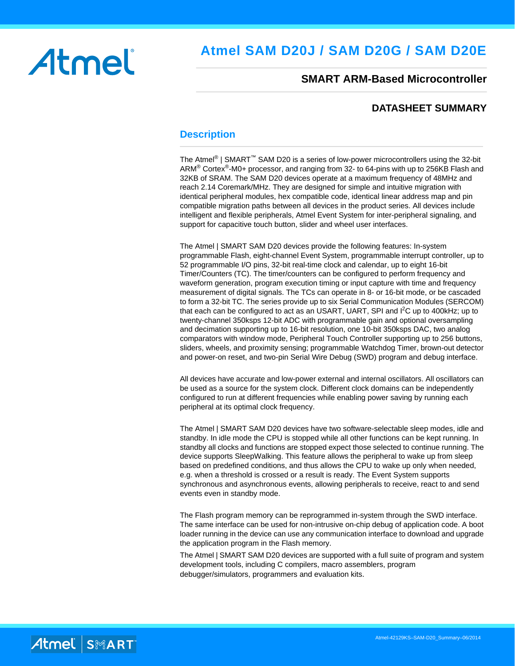# Atmel

# **Atmel SAM D20J / SAM D20G / SAM D20E**

### **SMART ARM-Based Microcontroller**

### **DATASHEET SUMMARY**

### <span id="page-0-0"></span>**Description**

The Atmel<sup>®</sup> | SMART<sup>™</sup> SAM D20 is a series of low-power microcontrollers using the 32-bit ARM<sup>®</sup> Cortex<sup>®</sup>-M0+ processor, and ranging from 32- to 64-pins with up to 256KB Flash and 32KB of SRAM. The SAM D20 devices operate at a maximum frequency of 48MHz and reach 2.14 Coremark/MHz. They are designed for simple and intuitive migration with identical peripheral modules, hex compatible code, identical linear address map and pin compatible migration paths between all devices in the product series. All devices include intelligent and flexible peripherals, Atmel Event System for inter-peripheral signaling, and support for capacitive touch button, slider and wheel user interfaces.

The Atmel | SMART SAM D20 devices provide the following features: In-system programmable Flash, eight-channel Event System, programmable interrupt controller, up to 52 programmable I/O pins, 32-bit real-time clock and calendar, up to eight 16-bit Timer/Counters (TC). The timer/counters can be configured to perform frequency and waveform generation, program execution timing or input capture with time and frequency measurement of digital signals. The TCs can operate in 8- or 16-bit mode, or be cascaded to form a 32-bit TC. The series provide up to six Serial Communication Modules (SERCOM) that each can be configured to act as an USART, UART, SPI and I<sup>2</sup>C up to 400kHz; up to twenty-channel 350ksps 12-bit ADC with programmable gain and optional oversampling and decimation supporting up to 16-bit resolution, one 10-bit 350ksps DAC, two analog comparators with window mode, Peripheral Touch Controller supporting up to 256 buttons, sliders, wheels, and proximity sensing; programmable Watchdog Timer, brown-out detector and power-on reset, and two-pin Serial Wire Debug (SWD) program and debug interface.

All devices have accurate and low-power external and internal oscillators. All oscillators can be used as a source for the system clock. Different clock domains can be independently configured to run at different frequencies while enabling power saving by running each peripheral at its optimal clock frequency.

The Atmel | SMART SAM D20 devices have two software-selectable sleep modes, idle and standby. In idle mode the CPU is stopped while all other functions can be kept running. In standby all clocks and functions are stopped expect those selected to continue running. The device supports SleepWalking. This feature allows the peripheral to wake up from sleep based on predefined conditions, and thus allows the CPU to wake up only when needed, e.g. when a threshold is crossed or a result is ready. The Event System supports synchronous and asynchronous events, allowing peripherals to receive, react to and send events even in standby mode.

The Flash program memory can be reprogrammed in-system through the SWD interface. The same interface can be used for non-intrusive on-chip debug of application code. A boot loader running in the device can use any communication interface to download and upgrade the application program in the Flash memory.

The Atmel | SMART SAM D20 devices are supported with a full suite of program and system development tools, including C compilers, macro assemblers, program debugger/simulators, programmers and evaluation kits.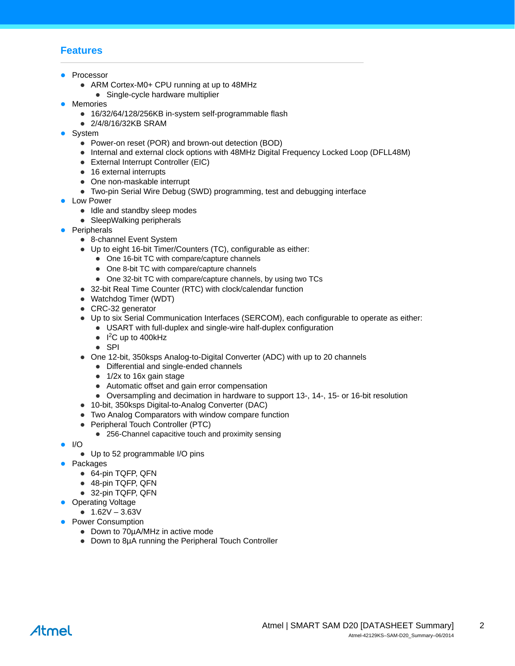# <span id="page-1-0"></span>**Features**

- Processor
	- ARM Cortex-M0+ CPU running at up to 48MHz
	- Single-cycle hardware multiplier
- Memories
	- 16/32/64/128/256KB in-system self-programmable flash
	- 2/4/8/16/32KB SRAM
- System
	- Power-on reset (POR) and brown-out detection (BOD)
	- Internal and external clock options with 48MHz Digital Frequency Locked Loop (DFLL48M)
	- External Interrupt Controller (EIC)
	- 16 external interrupts
	- One non-maskable interrupt
	- Two-pin Serial Wire Debug (SWD) programming, test and debugging interface
- Low Power
	- Idle and standby sleep modes
	- SleepWalking peripherals
- Peripherals
	- 8-channel Event System
	- Up to eight 16-bit Timer/Counters (TC), configurable as either:
		- One 16-bit TC with compare/capture channels
		- One 8-bit TC with compare/capture channels
		- One 32-bit TC with compare/capture channels, by using two TCs
	- 32-bit Real Time Counter (RTC) with clock/calendar function
	- Watchdog Timer (WDT)
	- CRC-32 generator
	- Up to six Serial Communication Interfaces (SERCOM), each configurable to operate as either:
		- USART with full-duplex and single-wire half-duplex configuration
			- $\bullet$  I<sup>2</sup>C up to 400kHz
			- $\bullet$  SPI
	- One 12-bit, 350ksps Analog-to-Digital Converter (ADC) with up to 20 channels
		- Differential and single-ended channels
		- $\bullet$  1/2x to 16x gain stage
		- Automatic offset and gain error compensation
		- Oversampling and decimation in hardware to support 13-, 14-, 15- or 16-bit resolution
	- 10-bit, 350ksps Digital-to-Analog Converter (DAC)
	- Two Analog Comparators with window compare function
	- Peripheral Touch Controller (PTC)
		- 256-Channel capacitive touch and proximity sensing
- $\bullet$  I/O
	- Up to 52 programmable I/O pins
- Packages
	- 64-pin TQFP, QFN
	- 48-pin TQFP, QFN
	- 32-pin TQFP, QFN
- Operating Voltage
	- $\bullet$  1.62V 3.63V
- Power Consumption
	- Down to 70µA/MHz in active mode
	- Down to 8µA running the Peripheral Touch Controller

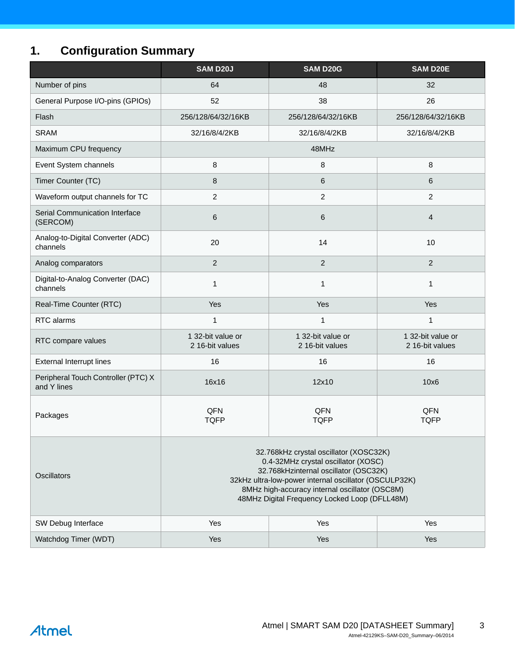# <span id="page-2-1"></span><span id="page-2-0"></span>**1. Configuration Summary**

|                                                    | <b>SAM D20J</b>                                                                                                                                                                                                                                                                    | <b>SAM D20G</b>                      | <b>SAM D20E</b>                      |  |  |
|----------------------------------------------------|------------------------------------------------------------------------------------------------------------------------------------------------------------------------------------------------------------------------------------------------------------------------------------|--------------------------------------|--------------------------------------|--|--|
| Number of pins                                     | 64                                                                                                                                                                                                                                                                                 | 48                                   | 32                                   |  |  |
| General Purpose I/O-pins (GPIOs)                   | 52                                                                                                                                                                                                                                                                                 | 38                                   | 26                                   |  |  |
| Flash                                              | 256/128/64/32/16KB                                                                                                                                                                                                                                                                 | 256/128/64/32/16KB                   | 256/128/64/32/16KB                   |  |  |
| <b>SRAM</b>                                        | 32/16/8/4/2KB                                                                                                                                                                                                                                                                      | 32/16/8/4/2KB                        | 32/16/8/4/2KB                        |  |  |
| Maximum CPU frequency                              |                                                                                                                                                                                                                                                                                    | 48MHz                                |                                      |  |  |
| Event System channels                              | 8                                                                                                                                                                                                                                                                                  | 8                                    | 8                                    |  |  |
| Timer Counter (TC)                                 | 8                                                                                                                                                                                                                                                                                  | 6                                    | 6                                    |  |  |
| Waveform output channels for TC                    | $\overline{c}$                                                                                                                                                                                                                                                                     | $\overline{c}$                       | $\overline{2}$                       |  |  |
| Serial Communication Interface<br>(SERCOM)         | 6                                                                                                                                                                                                                                                                                  | 6                                    | $\overline{4}$                       |  |  |
| Analog-to-Digital Converter (ADC)<br>channels      | 20                                                                                                                                                                                                                                                                                 | 14                                   | 10                                   |  |  |
| Analog comparators                                 | $\overline{c}$                                                                                                                                                                                                                                                                     | $\overline{2}$                       | $\overline{2}$                       |  |  |
| Digital-to-Analog Converter (DAC)<br>channels      | 1                                                                                                                                                                                                                                                                                  | 1                                    | $\mathbf{1}$                         |  |  |
| Real-Time Counter (RTC)                            | Yes                                                                                                                                                                                                                                                                                | Yes                                  | Yes                                  |  |  |
| RTC alarms                                         | 1                                                                                                                                                                                                                                                                                  | 1                                    | $\mathbf{1}$                         |  |  |
| RTC compare values                                 | 1 32-bit value or<br>2 16-bit values                                                                                                                                                                                                                                               | 1 32-bit value or<br>2 16-bit values | 1 32-bit value or<br>2 16-bit values |  |  |
| <b>External Interrupt lines</b>                    | 16                                                                                                                                                                                                                                                                                 | 16                                   | 16                                   |  |  |
| Peripheral Touch Controller (PTC) X<br>and Y lines | 16x16                                                                                                                                                                                                                                                                              | 12x10                                | 10x6                                 |  |  |
| Packages                                           | QFN<br><b>TQFP</b>                                                                                                                                                                                                                                                                 | QFN<br><b>TQFP</b>                   | QFN<br><b>TQFP</b>                   |  |  |
| <b>Oscillators</b>                                 | 32.768kHz crystal oscillator (XOSC32K)<br>0.4-32MHz crystal oscillator (XOSC)<br>32.768kHzinternal oscillator (OSC32K)<br>32kHz ultra-low-power internal oscillator (OSCULP32K)<br>8MHz high-accuracy internal oscillator (OSC8M)<br>48MHz Digital Frequency Locked Loop (DFLL48M) |                                      |                                      |  |  |
| SW Debug Interface                                 | Yes                                                                                                                                                                                                                                                                                | Yes                                  | Yes                                  |  |  |
| Watchdog Timer (WDT)                               | Yes<br>Yes<br>Yes                                                                                                                                                                                                                                                                  |                                      |                                      |  |  |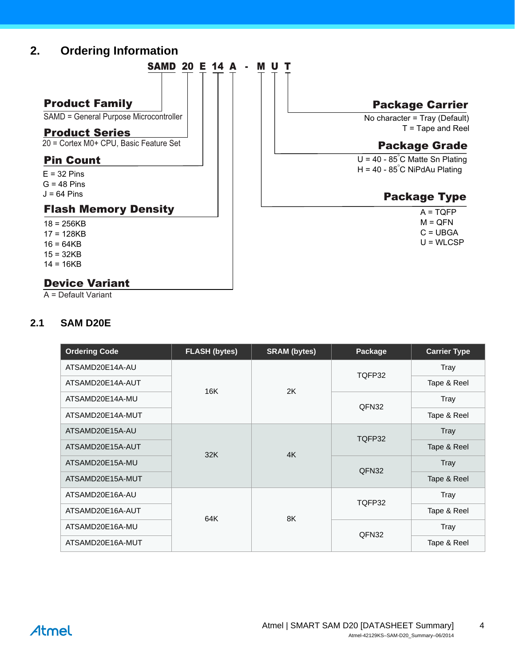# <span id="page-3-0"></span>**2. Ordering Information**



 No character = Tray (Default) Package Carrier

T = Tape and Reel

# Package Grade

 $U = 40 - 85^{\circ}$ C Matte Sn Plating H = 40 - 85°C NiPdAu Plating

# Package Type

- $A = TQFP$  $M = QFN$
- $C = UBGA$
- U = WLCSP

 $14 = 16KB$ 

# Device Variant

A = Default Variant

# <span id="page-3-1"></span>**2.1 SAM D20E**

| <b>Ordering Code</b> | <b>FLASH (bytes)</b> | <b>SRAM</b> (bytes) | Package | <b>Carrier Type</b> |
|----------------------|----------------------|---------------------|---------|---------------------|
| ATSAMD20E14A-AU      |                      |                     | TQFP32  | Tray                |
| ATSAMD20E14A-AUT     | 16K                  | 2K                  |         | Tape & Reel         |
| ATSAMD20E14A-MU      |                      |                     | QFN32   | Tray                |
| ATSAMD20E14A-MUT     |                      |                     |         | Tape & Reel         |
| ATSAMD20E15A-AU      |                      |                     | TQFP32  | <b>Tray</b>         |
| ATSAMD20E15A-AUT     |                      | 4K                  |         | Tape & Reel         |
| ATSAMD20E15A-MU      | 32K                  |                     | QFN32   | Tray                |
| ATSAMD20E15A-MUT     |                      |                     |         | Tape & Reel         |
| ATSAMD20E16A-AU      |                      |                     | TQFP32  | Tray                |
| ATSAMD20E16A-AUT     | 64K                  | 8K                  |         | Tape & Reel         |
| ATSAMD20E16A-MU      |                      |                     |         | Tray                |
| ATSAMD20E16A-MUT     |                      |                     | QFN32   | Tape & Reel         |

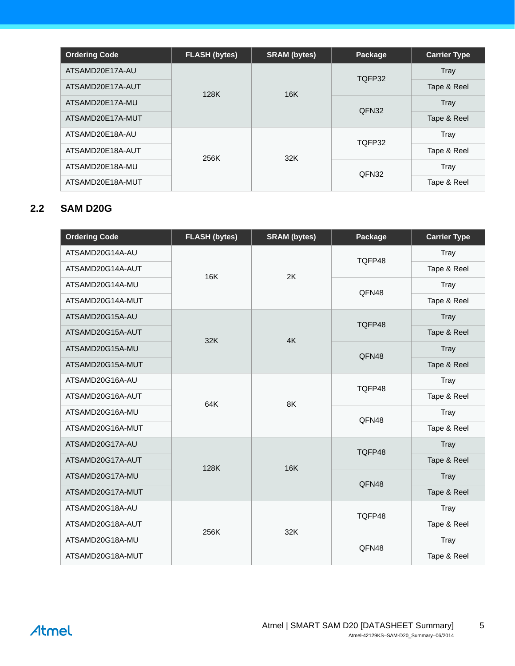| <b>Ordering Code</b> | <b>FLASH (bytes)</b><br><b>SRAM</b> (bytes) |     | Package | <b>Carrier Type</b> |  |
|----------------------|---------------------------------------------|-----|---------|---------------------|--|
| ATSAMD20E17A-AU      |                                             |     | TQFP32  | Tray                |  |
| ATSAMD20E17A-AUT     | 128K                                        | 16K |         | Tape & Reel         |  |
| ATSAMD20E17A-MU      |                                             |     | QFN32   | Tray                |  |
| ATSAMD20E17A-MUT     |                                             |     |         | Tape & Reel         |  |
| ATSAMD20E18A-AU      |                                             |     | TQFP32  | Tray                |  |
| ATSAMD20E18A-AUT     | 256K                                        | 32K |         | Tape & Reel         |  |
| ATSAMD20E18A-MU      |                                             |     |         | Tray                |  |
| ATSAMD20E18A-MUT     |                                             |     | QFN32   | Tape & Reel         |  |

# <span id="page-4-0"></span>**2.2 SAM D20G**

| <b>Ordering Code</b> | <b>FLASH (bytes)</b> | <b>SRAM</b> (bytes) | Package | <b>Carrier Type</b> |
|----------------------|----------------------|---------------------|---------|---------------------|
| ATSAMD20G14A-AU      |                      |                     | TQFP48  | Tray                |
| ATSAMD20G14A-AUT     | 16K                  | 2K                  |         | Tape & Reel         |
| ATSAMD20G14A-MU      |                      |                     | QFN48   | Tray                |
| ATSAMD20G14A-MUT     |                      |                     |         | Tape & Reel         |
| ATSAMD20G15A-AU      |                      |                     | TQFP48  | Tray                |
| ATSAMD20G15A-AUT     | 32K                  | 4K                  |         | Tape & Reel         |
| ATSAMD20G15A-MU      |                      |                     | QFN48   | Tray                |
| ATSAMD20G15A-MUT     |                      |                     |         | Tape & Reel         |
| ATSAMD20G16A-AU      |                      |                     | TQFP48  | Tray                |
| ATSAMD20G16A-AUT     | 64K                  | 8K                  |         | Tape & Reel         |
| ATSAMD20G16A-MU      |                      |                     | QFN48   | Tray                |
| ATSAMD20G16A-MUT     |                      |                     |         | Tape & Reel         |
| ATSAMD20G17A-AU      |                      |                     | TQFP48  | Tray                |
| ATSAMD20G17A-AUT     | 128K                 | <b>16K</b>          |         | Tape & Reel         |
| ATSAMD20G17A-MU      |                      |                     | QFN48   | Tray                |
| ATSAMD20G17A-MUT     |                      |                     |         | Tape & Reel         |
| ATSAMD20G18A-AU      |                      |                     | TQFP48  | Tray                |
| ATSAMD20G18A-AUT     | 256K                 | 32K                 |         | Tape & Reel         |
| ATSAMD20G18A-MU      |                      |                     | QFN48   | Tray                |
| ATSAMD20G18A-MUT     |                      |                     |         | Tape & Reel         |

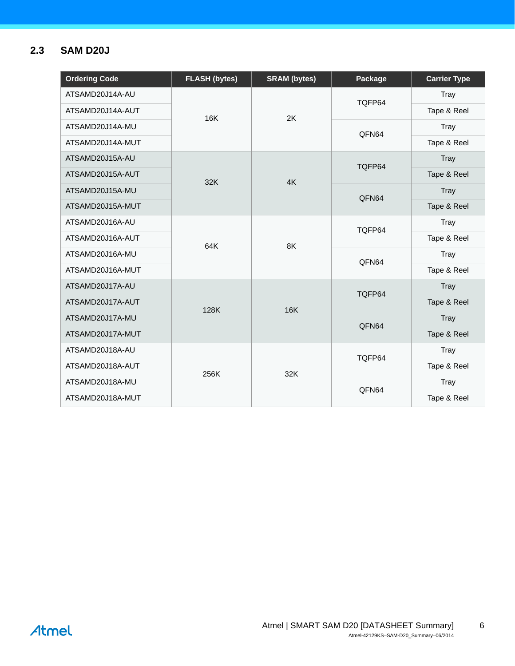# <span id="page-5-0"></span>**2.3 SAM D20J**

| <b>Ordering Code</b> | <b>FLASH (bytes)</b> | <b>SRAM (bytes)</b> | Package         | <b>Carrier Type</b> |
|----------------------|----------------------|---------------------|-----------------|---------------------|
| ATSAMD20J14A-AU      |                      |                     | TQFP64          | Tray                |
| ATSAMD20J14A-AUT     | 16K                  | 2K                  |                 | Tape & Reel         |
| ATSAMD20J14A-MU      |                      |                     | QFN64           | Tray                |
| ATSAMD20J14A-MUT     |                      |                     |                 | Tape & Reel         |
| ATSAMD20J15A-AU      |                      |                     | TQFP64          | Tray                |
| ATSAMD20J15A-AUT     | 32K                  | 4K                  |                 | Tape & Reel         |
| ATSAMD20J15A-MU      |                      |                     | QFN64           | Tray                |
| ATSAMD20J15A-MUT     |                      |                     |                 | Tape & Reel         |
| ATSAMD20J16A-AU      | 64K                  | 8K                  | TQFP64<br>QFN64 | Tray                |
| ATSAMD20J16A-AUT     |                      |                     |                 | Tape & Reel         |
| ATSAMD20J16A-MU      |                      |                     |                 | Tray                |
| ATSAMD20J16A-MUT     |                      |                     |                 | Tape & Reel         |
| ATSAMD20J17A-AU      |                      | <b>16K</b>          | TQFP64          | Tray                |
| ATSAMD20J17A-AUT     | 128K                 |                     |                 | Tape & Reel         |
| ATSAMD20J17A-MU      |                      |                     | QFN64           | Tray                |
| ATSAMD20J17A-MUT     |                      |                     |                 | Tape & Reel         |
| ATSAMD20J18A-AU      |                      |                     | TQFP64          | Tray                |
| ATSAMD20J18A-AUT     | 256K                 | 32K                 |                 | Tape & Reel         |
| ATSAMD20J18A-MU      |                      |                     | QFN64           | Tray                |
| ATSAMD20J18A-MUT     |                      |                     |                 | Tape & Reel         |

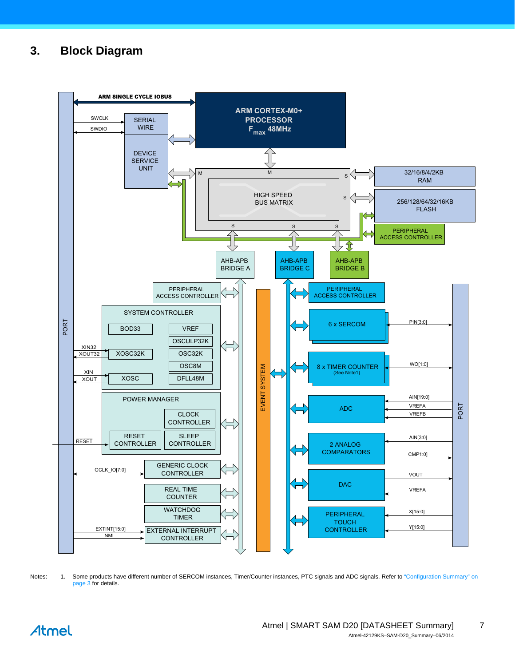# <span id="page-6-0"></span>**3. Block Diagram**



Notes: 1. Some products have different number of SERCOM instances, Timer/Counter instances, PTC signals and ADC signals. Refer to "Configuration Summary" on [page 3](#page-2-0) for details.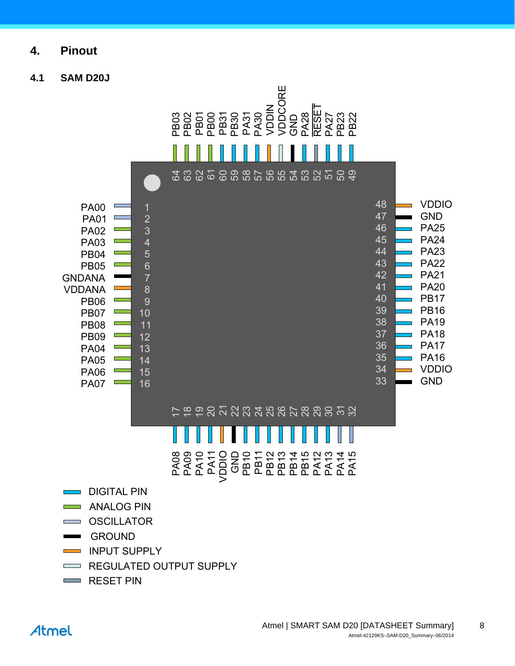- <span id="page-7-0"></span>**4. Pinout**
- <span id="page-7-1"></span>**4.1 SAM D20J**

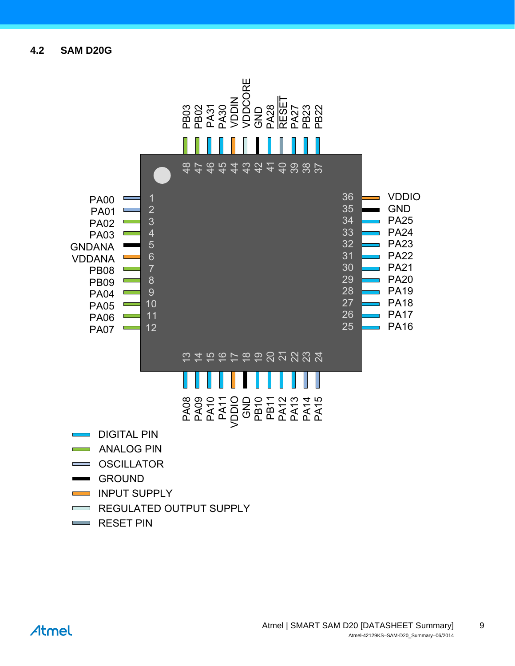<span id="page-8-0"></span>**4.2 SAM D20G**

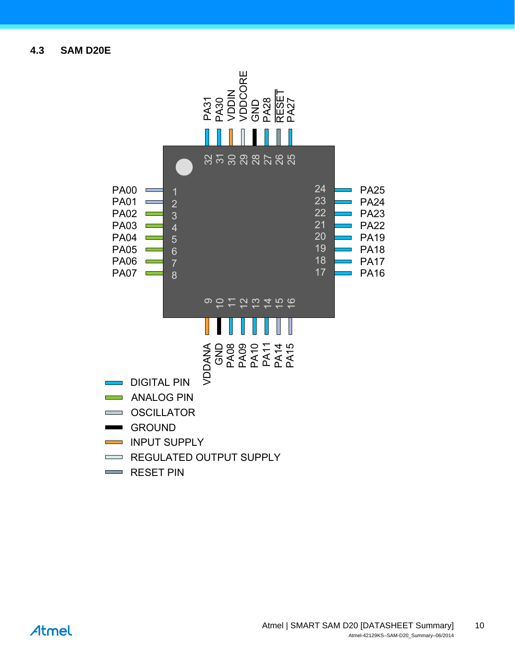<span id="page-9-0"></span>**4.3 SAM D20E**

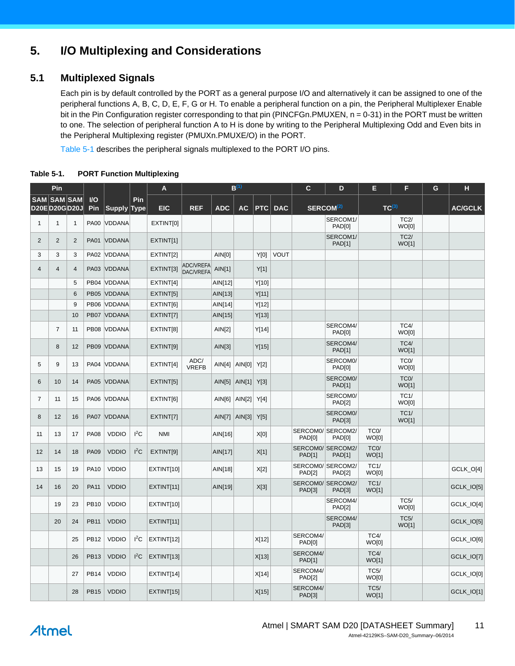# <span id="page-10-1"></span>**5. I/O Multiplexing and Considerations**

# <span id="page-10-2"></span>**5.1 Multiplexed Signals**

Each pin is by default controlled by the PORT as a general purpose I/O and alternatively it can be assigned to one of the peripheral functions A, B, C, D, E, F, G or H. To enable a peripheral function on a pin, the Peripheral Multiplexer Enable bit in the Pin Configuration register corresponding to that pin (PINCFGn.PMUXEN, n = 0-31) in the PORT must be written to one. The selection of peripheral function A to H is done by writing to the Peripheral Multiplexing Odd and Even bits in the Peripheral Multiplexing register (PMUXn.PMUXE/O) in the PORT.

[Table 5-1](#page-10-0) describes the peripheral signals multiplexed to the PORT I/O pins.

|                                    | Pin                     |                |             |                    |             | A          |                               |                   | $B^{(1)}$             |       |                | $\mathbf c$                        | D                         | Е                           | F                          | G | н              |
|------------------------------------|-------------------------|----------------|-------------|--------------------|-------------|------------|-------------------------------|-------------------|-----------------------|-------|----------------|------------------------------------|---------------------------|-----------------------------|----------------------------|---|----------------|
| <b>SAM SAM SAM</b><br>D20ED20GD20J |                         |                | $U$<br>Pin  | <b>Supply Type</b> | Pin         | <b>EIC</b> | <b>REF</b>                    | <b>ADC</b>        | <b>AC</b>             |       | <b>PTC DAC</b> | SERCOM <sup>(2)</sup>              |                           | TC <sup>(3)</sup>           |                            |   | <b>AC/GCLK</b> |
| $\mathbf{1}$                       | $\overline{1}$          | $\mathbf{1}$   | <b>PA00</b> | <b>VDDANA</b>      |             | EXTINT[0]  |                               |                   |                       |       |                |                                    | SERCOM1/                  |                             | TC2/                       |   |                |
|                                    |                         |                |             |                    |             |            |                               |                   |                       |       |                |                                    | PAD[0]<br>SERCOM1/        |                             | WO[0]<br>TC2/              |   |                |
| $\overline{2}$                     | $\overline{2}$          | 2              | <b>PA01</b> | <b>VDDANA</b>      |             | EXTINT[1]  |                               |                   |                       |       |                |                                    | <b>PAD[1]</b>             |                             | WO[1]                      |   |                |
| 3                                  | 3                       | 3              | <b>PA02</b> | <b>VDDANA</b>      |             | EXTINT[2]  |                               | AIN[0]            |                       | Y[0]  | VOUT           |                                    |                           |                             |                            |   |                |
| $\overline{4}$                     | $\overline{\mathbf{4}}$ | $\overline{4}$ | PA03        | VDDANA             |             | EXTINT[3]  | ADC/VREFA<br><b>DAC/VREFA</b> | AlN[1]            |                       | Y[1]  |                |                                    |                           |                             |                            |   |                |
|                                    |                         | 5              |             | PB04 VDDANA        |             | EXTINT[4]  |                               | AIN[12]           |                       | Y[10] |                |                                    |                           |                             |                            |   |                |
|                                    |                         | 6              |             | PB05 VDDANA        |             | EXTINT[5]  |                               | AlN[13]           |                       | Y[11] |                |                                    |                           |                             |                            |   |                |
|                                    |                         | 9              |             | PB06 VDDANA        |             | EXTINT[6]  |                               | AIN[14]           |                       | Y[12] |                |                                    |                           |                             |                            |   |                |
|                                    |                         | 10             |             | PB07 VDDANA        |             | EXTINT[7]  |                               | AIN[15]           |                       | Y[13] |                |                                    |                           |                             |                            |   |                |
|                                    | $\overline{7}$          | 11             | <b>PB08</b> | VDDANA             |             | EXTINT[8]  |                               | AlN[2]            |                       | Y[14] |                |                                    | SERCOM4/<br>PAD[0]        |                             | TC4/<br>WO[0]              |   |                |
|                                    | 8                       | 12             | <b>PB09</b> | VDDANA             |             | EXTINT[9]  |                               | AlN[3]            |                       | Y[15] |                |                                    | SERCOM4/<br><b>PAD[1]</b> |                             | TC4/<br>WO[1]              |   |                |
| 5                                  | 9                       | 13             | <b>PA04</b> | <b>VDDANA</b>      |             | EXTINT[4]  | ADC/<br><b>VREFB</b>          |                   | AIN[4]   AIN[0]       | Y[2]  |                |                                    | SERCOM0/<br>PAD[0]        |                             | TC <sub>0</sub> /<br>WO[0] |   |                |
| 6                                  | 10                      | 14             | <b>PA05</b> | VDDANA             |             | EXTINT[5]  |                               |                   | AIN[5] $\vert$ AIN[1] | Y[3]  |                |                                    | SERCOM0/<br><b>PAD[1]</b> |                             | TC <sub>0</sub> /<br>WO[1] |   |                |
| $\overline{7}$                     | 11                      | 15             | <b>PA06</b> | VDDANA             |             | EXTINT[6]  |                               |                   | AIN[6]   AIN[2]       | Y[4]  |                |                                    | SERCOM0/<br><b>PAD[2]</b> |                             | TC1/<br>WO[0]              |   |                |
| 8                                  | 12                      | 16             | <b>PA07</b> | VDDANA             |             | EXTINT[7]  |                               | $AlN[7]$ $AlN[3]$ |                       | Y[5]  |                |                                    | SERCOM0/<br>PAD[3]        |                             | TC1/<br>WO[1]              |   |                |
| 11                                 | 13                      | 17             | <b>PA08</b> | <b>VDDIO</b>       | $I^2C$      | <b>NMI</b> |                               | AIN[16]           |                       | X[0]  |                | SERCOM0/ SERCOM2/<br>PAD[0]        | PAD[0]                    | TC <sub>0</sub> /<br>WO[0]  |                            |   |                |
| 12                                 | 14                      | 18             | <b>PA09</b> | <b>VDDIO</b>       | ${}^{12}$ C | EXTINT[9]  |                               | AIN[17]           |                       | X[1]  |                | SERCOM0/ SERCOM2/<br><b>PAD[1]</b> | <b>PAD[1]</b>             | TC <sub>0</sub> /<br>WO[1]  |                            |   |                |
| 13                                 | 15                      | 19             | <b>PA10</b> | <b>VDDIO</b>       |             | EXTINT[10] |                               | AIN[18]           |                       | X[2]  |                | SERCOM0/ SERCOM2/<br><b>PAD[2]</b> | <b>PAD[2]</b>             | TC1/<br>WO[0]               |                            |   | GCLK_O[4]      |
| 14                                 | 16                      | 20             | <b>PA11</b> | <b>VDDIO</b>       |             | EXTINT[11] |                               | AIN[19]           |                       | X[3]  |                | SERCOM0/ SERCOM2/<br>PAD[3]        | PAD[3]                    | TC1/<br>WO[1]               |                            |   | GCLK_IO[5]     |
|                                    | 19                      | 23             | <b>PB10</b> | <b>VDDIO</b>       |             | EXTINT[10] |                               |                   |                       |       |                |                                    | SERCOM4/<br><b>PAD[2]</b> |                             | TC5/<br>WO[0]              |   | GCLK_IO[4]     |
|                                    | 20                      | 24             | <b>PB11</b> | <b>VDDIO</b>       |             | EXTINT[11] |                               |                   |                       |       |                |                                    | SERCOM4/<br><b>PAD[3]</b> |                             | <b>TC5/</b><br>WO[1]       |   | GCLK_IO[5]     |
|                                    |                         | 25             | <b>PB12</b> | <b>VDDIO</b>       | $I^2C$      | EXTINT[12] |                               |                   |                       | X[12] |                | SERCOM4/<br><b>PAD[0]</b>          |                           | TC4/<br>WO[0]               |                            |   | GCLK_IO[6]     |
|                                    |                         | 26             | <b>PB13</b> | <b>VDDIO</b>       | $I^2C$      | EXTINT[13] |                               |                   |                       | X[13] |                | SERCOM4/<br>PAD[1]                 |                           | TC4/<br>WO[1]               |                            |   | GCLK_IO[7]     |
|                                    |                         | 27             | <b>PB14</b> | <b>VDDIO</b>       |             | EXTINT[14] |                               |                   |                       | X[14] |                | SERCOM4/<br>PAD[2]                 |                           | <b>TC5/</b><br>WO[0]        |                            |   | GCLK_IO[0]     |
|                                    |                         | 28             | <b>PB15</b> | <b>VDDIO</b>       |             | EXTINT[15] |                               |                   |                       | X[15] |                | SERCOM4/<br>PAD[3]                 |                           | <b>TC5/</b><br><b>WO[1]</b> |                            |   | GCLK_IO[1]     |

<span id="page-10-0"></span>**Table 5-1. PORT Function Multiplexing** 

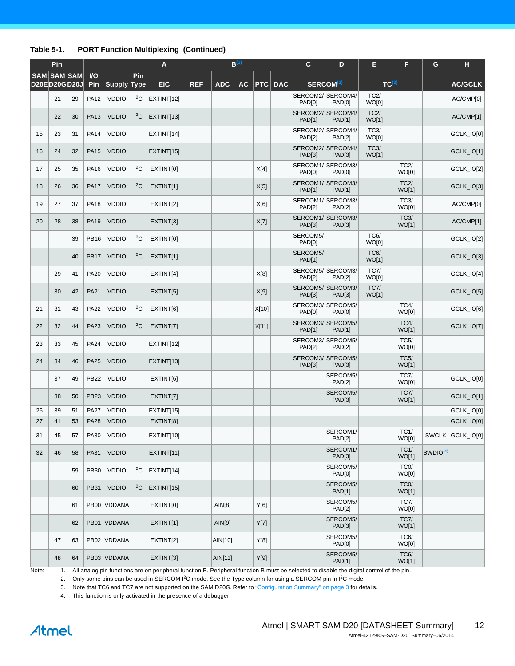#### **Table 5-1. PORT Function Multiplexing (Continued)**

|    | Pin                                |    |             |              |             | A          |            |            | $B^{(1)}$ |       |            | $\mathbf{C}$              | D                                  | Е                    | F                          | G                    | H                |
|----|------------------------------------|----|-------------|--------------|-------------|------------|------------|------------|-----------|-------|------------|---------------------------|------------------------------------|----------------------|----------------------------|----------------------|------------------|
|    | <b>SAM SAM SAM</b><br>D20ED20GD20J |    | $U$<br>Pin  | Supply Type  | Pin         | <b>EIC</b> | <b>REF</b> | <b>ADC</b> | <b>AC</b> | PTC   | <b>DAC</b> |                           | SERCOM <sup>(2)</sup>              | $TC^{(3)}$           |                            |                      | <b>AC/GCLK</b>   |
|    | 21                                 | 29 | <b>PA12</b> | <b>VDDIO</b> | $I^2C$      | EXTINT[12] |            |            |           |       |            | PAD[0]                    | SERCOM2/ SERCOM4/<br>PAD[0]        | TC2/<br>WO[0]        |                            |                      | AC/CMP[0]        |
|    | 22                                 | 30 | <b>PA13</b> | <b>VDDIO</b> | $I^2C$      | EXTINT[13] |            |            |           |       |            | <b>PAD[1]</b>             | SERCOM2/ SERCOM4/<br>PAD[1]        | TC2/<br>WO[1]        |                            |                      | AC/CMP[1]        |
| 15 | 23                                 | 31 | <b>PA14</b> | <b>VDDIO</b> |             | EXTINT[14] |            |            |           |       |            | <b>PAD[2]</b>             | SERCOM2/ SERCOM4/<br><b>PAD[2]</b> | <b>TC3/</b><br>WO[0] |                            |                      | GCLK_IO[0]       |
| 16 | 24                                 | 32 | <b>PA15</b> | <b>VDDIO</b> |             | EXTINT[15] |            |            |           |       |            | PAD[3]                    | SERCOM2/ SERCOM4/<br>PAD[3]        | <b>TC3/</b><br>WO[1] |                            |                      | GCLK_IO[1]       |
| 17 | 25                                 | 35 | <b>PA16</b> | <b>VDDIO</b> | ${}^{12}$ C | EXTINT[0]  |            |            |           | X[4]  |            | PAD[0]                    | SERCOM1/SERCOM3/<br>PAD[0]         |                      | TC2/<br>WO[0]              |                      | GCLK_IO[2]       |
| 18 | 26                                 | 36 | <b>PA17</b> | <b>VDDIO</b> | $I^2C$      | EXTINT[1]  |            |            |           | X[5]  |            | <b>PAD[1]</b>             | SERCOM1/SERCOM3/<br><b>PAD[1]</b>  |                      | TC2/<br>WO[1]              |                      | GCLK_IO[3]       |
| 19 | 27                                 | 37 | <b>PA18</b> | <b>VDDIO</b> |             | EXTINT[2]  |            |            |           | X[6]  |            | <b>PAD[2]</b>             | SERCOM1/SERCOM3/<br><b>PAD[2]</b>  |                      | TC3/<br>WO[0]              |                      | AC/CMP[0]        |
| 20 | 28                                 | 38 | <b>PA19</b> | <b>VDDIO</b> |             | EXTINT[3]  |            |            |           | X[7]  |            | PAD[3]                    | SERCOM1/SERCOM3/<br>PAD[3]         |                      | TC3/<br>WO[1]              |                      | AC/CMP[1]        |
|    |                                    | 39 | <b>PB16</b> | <b>VDDIO</b> | $I^2C$      | EXTINT[0]  |            |            |           |       |            | SERCOM5/<br>PAD[0]        |                                    | <b>TC6/</b><br>WO[0] |                            |                      | GCLK_IO[2]       |
|    |                                    | 40 | <b>PB17</b> | <b>VDDIO</b> | $I^2C$      | EXTINT[1]  |            |            |           |       |            | SERCOM5/<br><b>PAD[1]</b> |                                    | <b>TC6/</b><br>WO[1] |                            |                      | GCLK IO[3]       |
|    | 29                                 | 41 | <b>PA20</b> | <b>VDDIO</b> |             | EXTINT[4]  |            |            |           | X[8]  |            | <b>PAD[2]</b>             | SERCOM5/ SERCOM3/<br><b>PAD[2]</b> | <b>TC7/</b><br>WO[0] |                            |                      | GCLK_IO[4]       |
|    | 30                                 | 42 | <b>PA21</b> | <b>VDDIO</b> |             | EXTINT[5]  |            |            |           | X[9]  |            | PAD[3]                    | SERCOM5/ SERCOM3/<br><b>PAD[3]</b> | <b>TC7/</b><br>WO[1] |                            |                      | GCLK IO[5]       |
| 21 | 31                                 | 43 | <b>PA22</b> | <b>VDDIO</b> | $I^2C$      | EXTINT[6]  |            |            |           | X[10] |            | PAD[0]                    | SERCOM3/ SERCOM5/<br>PAD[0]        |                      | TC4/<br>WO[0]              |                      | GCLK_IO[6]       |
| 22 | 32                                 | 44 | PA23        | <b>VDDIO</b> | $I^2C$      | EXTINT[7]  |            |            |           | X[11] |            | <b>PAD[1]</b>             | SERCOM3/ SERCOM5/<br><b>PAD[1]</b> |                      | TC4/<br>WO[1]              |                      | GCLK_IO[7]       |
| 23 | 33                                 | 45 | <b>PA24</b> | <b>VDDIO</b> |             | EXTINT[12] |            |            |           |       |            | <b>PAD[2]</b>             | SERCOM3/ SERCOM5/<br><b>PAD[2]</b> |                      | TC5/<br>WO[0]              |                      |                  |
| 24 | 34                                 | 46 | <b>PA25</b> | <b>VDDIO</b> |             | EXTINT[13] |            |            |           |       |            | PAD[3]                    | SERCOM3/ SERCOM5/<br>PAD[3]        |                      | TC5/<br>WO[1]              |                      |                  |
|    | 37                                 | 49 | <b>PB22</b> | <b>VDDIO</b> |             | EXTINT[6]  |            |            |           |       |            |                           | SERCOM5/<br><b>PAD[2]</b>          |                      | <b>TC7/</b><br>WO[0]       |                      | GCLK_IO[0]       |
|    | 38                                 | 50 | <b>PB23</b> | <b>VDDIO</b> |             | EXTINT[7]  |            |            |           |       |            |                           | SERCOM5/<br>PAD[3]                 |                      | <b>TC7/</b><br>WO[1]       |                      | GCLK_IO[1]       |
| 25 | 39                                 | 51 | <b>PA27</b> | <b>VDDIO</b> |             | EXTINT[15] |            |            |           |       |            |                           |                                    |                      |                            |                      | GCLK_IO[0]       |
| 27 | 41                                 | 53 | <b>PA28</b> | <b>VDDIO</b> |             | EXTINT[8]  |            |            |           |       |            |                           |                                    |                      |                            |                      | GCLK_IO[0]       |
| 31 | 45                                 | 57 |             | PA30 VDDIO   |             | EXTINT[10] |            |            |           |       |            |                           | SERCOM1/<br><b>PAD[2]</b>          |                      | TC1/<br>WO[0]              |                      | SWCLK GCLK_IO[0] |
| 32 | 46                                 | 58 | PA31        | <b>VDDIO</b> |             | EXTINT[11] |            |            |           |       |            |                           | SERCOM1/<br>PAD[3]                 |                      | TC1/<br>WO[1]              | SWDIO <sup>(4)</sup> |                  |
|    |                                    | 59 | <b>PB30</b> | <b>VDDIO</b> | $I^2C$      | EXTINT[14] |            |            |           |       |            |                           | SERCOM5/<br>PAD[0]                 |                      | TC <sub>0</sub> /<br>WO[0] |                      |                  |
|    |                                    | 60 | <b>PB31</b> | <b>VDDIO</b> | $I^2C$      | EXTINT[15] |            |            |           |       |            |                           | SERCOM5/<br><b>PAD[1]</b>          |                      | TC <sub>0</sub> /<br>WO[1] |                      |                  |
|    |                                    | 61 |             | PB00 VDDANA  |             | EXTINT[0]  |            | AlN[8]     |           | Y[6]  |            |                           | SERCOM5/<br>PAD[2]                 |                      | <b>TC7/</b><br>WO[0]       |                      |                  |
|    |                                    | 62 |             | PB01 VDDANA  |             | EXTINT[1]  |            | AlN[9]     |           | Y[7]  |            |                           | SERCOM5/<br>PAD[3]                 |                      | <b>TC7/</b><br>WO[1]       |                      |                  |
|    | 47                                 | 63 |             | PB02 VDDANA  |             | EXTINT[2]  |            | AIN[10]    |           | Y[8]  |            |                           | SERCOM5/<br><b>PAD[0]</b>          |                      | <b>TC6/</b><br>WO[0]       |                      |                  |
|    | 48                                 | 64 |             | PB03 VDDANA  |             | EXTINT[3]  |            | AIN[11]    |           | Y[9]  |            |                           | SERCOM5/<br><b>PAD[1]</b>          |                      | <b>TC6/</b><br>WO[1]       |                      |                  |

<span id="page-11-3"></span><span id="page-11-2"></span><span id="page-11-1"></span><span id="page-11-0"></span>Note: 1. All analog pin functions are on peripheral function B. Peripheral function B must be selected to disable the digital control of the pin.

2. Only some pins can be used in SERCOM I<sup>2</sup>C mode. See the Type column for using a SERCOM pin in I<sup>2</sup>C mode.

3. Note that TC6 and TC7 are not supported on the SAM D20G. Refer to ["Configuration Summary" on page 3](#page-2-0) for details.

4. This function is only activated in the presence of a debugger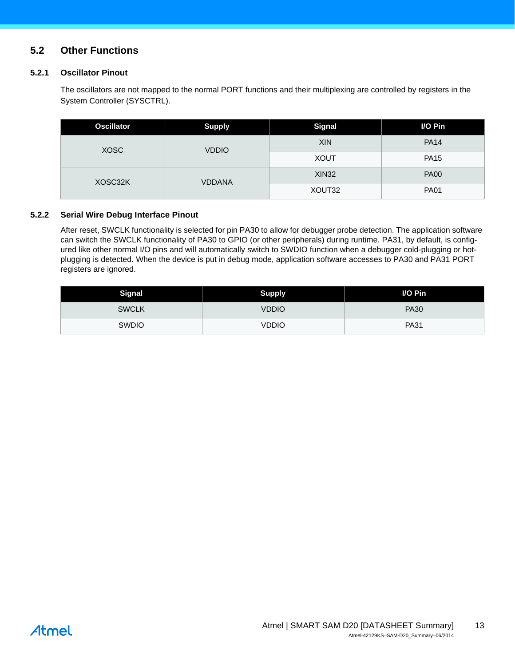# <span id="page-12-0"></span>**5.2 Other Functions**

#### **5.2.1 Oscillator Pinout**

The oscillators are not mapped to the normal PORT functions and their multiplexing are controlled by registers in the System Controller (SYSCTRL).

| <b>Oscillator</b> | <b>Supply</b> | <b>Signal</b> | I/O Pin     |
|-------------------|---------------|---------------|-------------|
| <b>XOSC</b>       | <b>VDDIO</b>  | <b>XIN</b>    | <b>PA14</b> |
|                   |               | <b>XOUT</b>   | <b>PA15</b> |
|                   | <b>VDDANA</b> | <b>XIN32</b>  | <b>PA00</b> |
| XOSC32K           |               | XOUT32        | <b>PA01</b> |

#### **5.2.2 Serial Wire Debug Interface Pinout**

After reset, SWCLK functionality is selected for pin PA30 to allow for debugger probe detection. The application software can switch the SWCLK functionality of PA30 to GPIO (or other peripherals) during runtime. PA31, by default, is configured like other normal I/O pins and will automatically switch to SWDIO function when a debugger cold-plugging or hotplugging is detected. When the device is put in debug mode, application software accesses to PA30 and PA31 PORT registers are ignored.

| <b>Signal</b> | <b>Supply</b> | I/O Pin     |
|---------------|---------------|-------------|
| <b>SWCLK</b>  | <b>VDDIO</b>  | <b>PA30</b> |
| <b>SWDIO</b>  | VDDIO         | <b>PA31</b> |

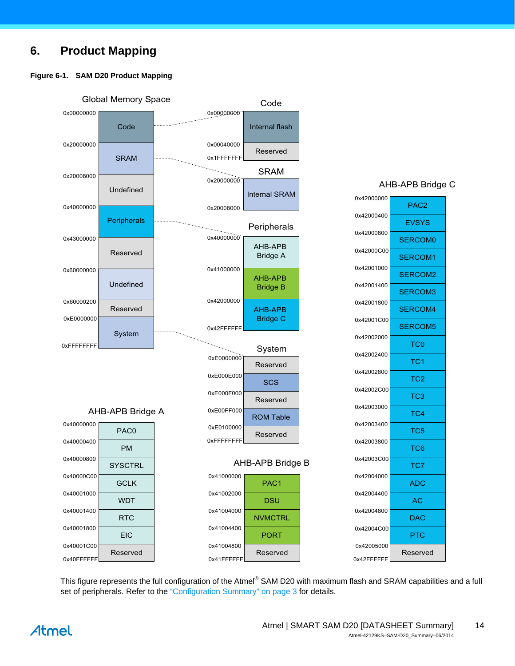# <span id="page-13-0"></span>**6. Product Mapping**

#### **Figure 6-1. SAM D20 Product Mapping**



This figure represents the full configuration of the Atmel® SAM D20 with maximum flash and SRAM capabilities and a full set of peripherals. Refer to the ["Configuration Summary" on page 3](#page-2-0) for details.



PAC2

**EVSYS** 

TC0

TC1

TC2

TC3

TC4

TC5 TC6

TC7

ADC

AC

DAC

**PTC**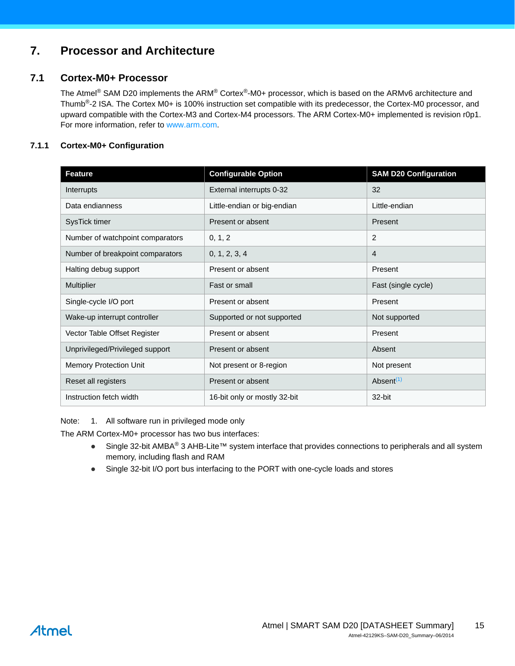# <span id="page-14-1"></span>**7. Processor and Architecture**

# <span id="page-14-2"></span>**7.1 Cortex-M0+ Processor**

The Atmel® SAM D20 implements the ARM® Cortex®-M0+ processor, which is based on the ARMv6 architecture and Thumb<sup>®</sup>-2 ISA. The Cortex M0+ is 100% instruction set compatible with its predecessor, the Cortex-M0 processor, and upward compatible with the Cortex-M3 and Cortex-M4 processors. The ARM Cortex-M0+ implemented is revision r0p1. For more information, refer to www.arm.com.

### **7.1.1 Cortex-M0+ Configuration**

| <b>Feature</b>                   | <b>Configurable Option</b>   | <b>SAM D20 Configuration</b> |
|----------------------------------|------------------------------|------------------------------|
| Interrupts                       | External interrupts 0-32     | 32                           |
| Data endianness                  | Little-endian or big-endian  | Little-endian                |
| SysTick timer                    | Present or absent            | Present                      |
| Number of watchpoint comparators | 0, 1, 2                      | $\overline{2}$               |
| Number of breakpoint comparators | 0, 1, 2, 3, 4                | 4                            |
| Halting debug support            | Present or absent            | Present                      |
| <b>Multiplier</b>                | Fast or small                | Fast (single cycle)          |
| Single-cycle I/O port            | Present or absent            | Present                      |
| Wake-up interrupt controller     | Supported or not supported   | Not supported                |
| Vector Table Offset Register     | Present or absent            | Present                      |
| Unprivileged/Privileged support  | Present or absent            | Absent                       |
| Memory Protection Unit           | Not present or 8-region      | Not present                  |
| Reset all registers              | Present or absent            | Absent <sup>(1)</sup>        |
| Instruction fetch width          | 16-bit only or mostly 32-bit | 32-bit                       |

<span id="page-14-0"></span>Note: 1. All software run in privileged mode only

The ARM Cortex-M0+ processor has two bus interfaces:

- Single 32-bit AMBA<sup>®</sup> 3 AHB-Lite™ system interface that provides connections to peripherals and all system memory, including flash and RAM
- Single 32-bit I/O port bus interfacing to the PORT with one-cycle loads and stores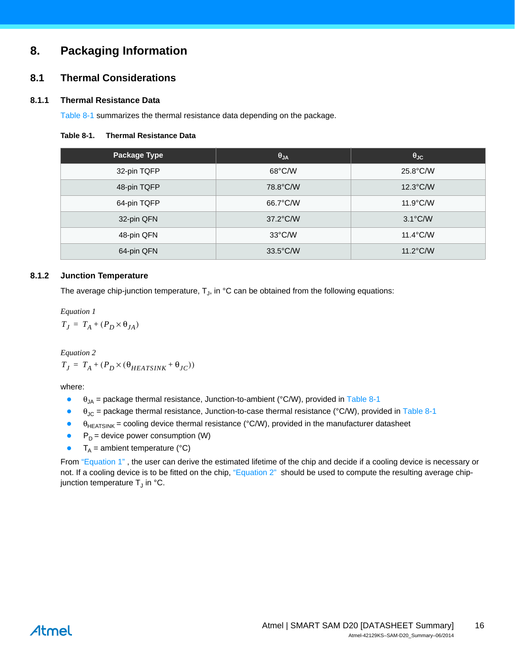# <span id="page-15-3"></span>**8. Packaging Information**

### <span id="page-15-4"></span>**8.1 Thermal Considerations**

#### **8.1.1 Thermal Resistance Data**

[Table 8-1](#page-15-0) summarizes the thermal resistance data depending on the package.

#### <span id="page-15-0"></span>**Table 8-1. Thermal Resistance Data**

| Package Type | $\theta_{JA}$      | $\theta_{\text{JC}}$ |
|--------------|--------------------|----------------------|
| 32-pin TQFP  | $68^{\circ}$ C/W   | 25.8°C/W             |
| 48-pin TQFP  | 78.8°C/W           | $12.3^{\circ}$ C/W   |
| 64-pin TQFP  | 66.7°C/W           | $11.9^{\circ}$ C/W   |
| 32-pin QFN   | 37.2°C/W           | $3.1^{\circ}$ C/W    |
| 48-pin QFN   | $33^{\circ}$ C/W   | $11.4^{\circ}$ C/W   |
| 64-pin QFN   | $33.5^{\circ}$ C/W | $11.2^{\circ}$ C/W   |
|              |                    |                      |

#### **8.1.2 Junction Temperature**

The average chip-junction temperature,  $T_{J}$ , in  $^{\circ}$ C can be obtained from the following equations:

<span id="page-15-1"></span>*Equation 1*  $T_J = T_A + (P_D \times \theta_{JA})$ 

<span id="page-15-2"></span>*Equation 2*  $T_J = T_A + (P_D \times (\theta_{HEATSINK} + \theta_{JC}))$ 

where:

- $\theta_{1A}$  = package thermal resistance, Junction-to-ambient (°C/W), provided in [Table 8-1](#page-15-0)
- $\theta_{\text{JC}}$  = package thermal resistance, Junction-to-case thermal resistance (°C/W), provided in [Table 8-1](#page-15-0)
- $\theta_{\text{HEATSINK}}$  = cooling device thermal resistance (°C/W), provided in the manufacturer datasheet
- $P_D$  = device power consumption (W)
- $\bullet$  T<sub>A</sub> = ambient temperature (°C)

From "Equation 1", the user can derive the estimated lifetime of the chip and decide if a cooling device is necessary or not. If a cooling device is to be fitted on the chip, ["Equation 2"](#page-15-2) should be used to compute the resulting average chipjunction temperature  $T_{\text{J}}$  in °C.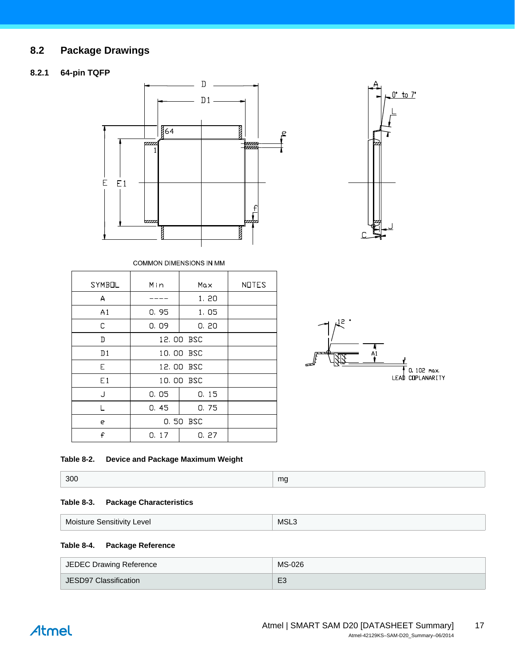# <span id="page-16-0"></span>**8.2 Package Drawings**

### **8.2.1 64-pin TQFP**





COMMON DIMENSIONS IN MM

| <b>SYMBOL</b>  | Min       | Max       | <b>NOTES</b> |
|----------------|-----------|-----------|--------------|
| A              |           | 1.20      |              |
| A1             | 0.95      | 1,05      |              |
| C              | 0,09      | 0, 20     |              |
| D              |           | 12.00 BSC |              |
| D <sub>1</sub> | 10.00 BSC |           |              |
| E.             |           | 12,00 BSC |              |
| E1             |           | 10,00 BSC |              |
| J              | 0.05      | 0.15      |              |
|                | 0.45      | 0.75      |              |
| e              | 0.50 BSC  |           |              |
| £              | 0.17      | 0.27      |              |

 $\overline{A1}$ 0. 102 max.<br>LEAD COPLANARITY

#### **Table 8-2. Device and Package Maximum Weight**

| 300 | mg<br>$-$ |
|-----|-----------|
|     |           |

#### **Table 8-3. Package Characteristics**

| $\cdots$                   | <b>MSL</b> |
|----------------------------|------------|
| Moisture Sensitivity Level | ___        |

#### **Table 8-4. Package Reference**

| JEDEC Drawing Reference | MS-026         |
|-------------------------|----------------|
| JESD97 Classification   | E <sub>3</sub> |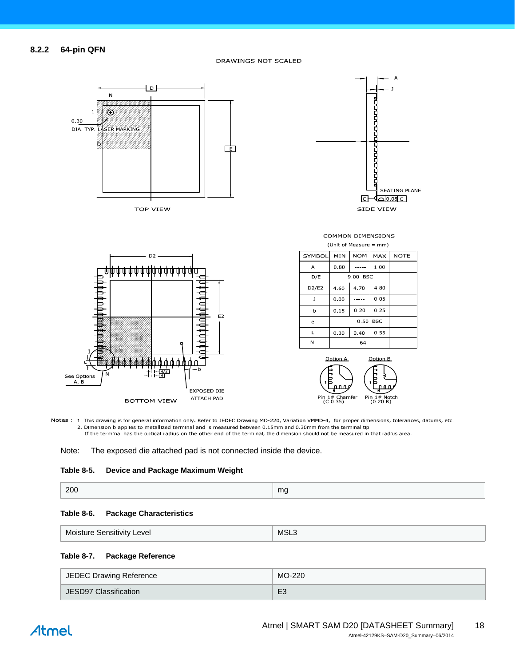

Notes: 1. This drawing is for general information only. Refer to JEDEC Drawing MO-220, Variation VMMD-4, for proper dimensions, tolerances, datums, etc. 2. Dimension b applies to metallized terminal and is measured between 0.15mm and 0.30mm from the terminal tip. If the terminal has the optical radius on the other end of the terminal, the dimension should not be measured in that radius area.

Note: The exposed die attached pad is not connected inside the device.

#### **Table 8-5. Device and Package Maximum Weight**

| 200 | mg |
|-----|----|
|-----|----|

#### **Table 8-6. Package Characteristics**

| Moisture Sensitivity Level | MSL <sub>3</sub> |
|----------------------------|------------------|
|                            |                  |

#### **Table 8-7. Package Reference**

| JEDEC Drawing Reference | MO-220         |
|-------------------------|----------------|
| JESD97 Classification   | E <sub>3</sub> |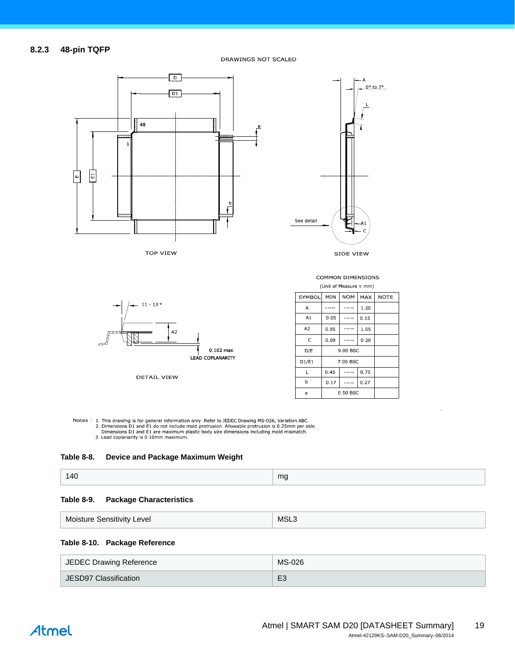#### **8.2.3 48-pin TQFP**

DRAWINGS NOT SCALED



**TOP VIEW** 



COMMON DIMENSIONS



DETAIL VIEW

| (Unit of Measure = mm) |          |            |       |             |
|------------------------|----------|------------|-------|-------------|
| SYMBOL                 | MIN      | <b>NOM</b> | MAX   | <b>NOTE</b> |
| Α                      |          |            | 1.20  |             |
| A1                     | 0.05     |            | 0.15  |             |
| A <sub>2</sub>         | 0.95     |            | 1 0 5 |             |
| C                      | 0.09     |            | 0.20  |             |
| D/E                    | 9.00 BSC |            |       |             |
| D1/E1                  | 7.00 BSC |            |       |             |
| L                      | 0.45     |            | 0.75  |             |
| b                      | 0.17     |            | 0.27  |             |
| e                      | 0.50 BSC |            |       |             |

Notes : 1. This drawing is for general information only. Refer to JEDEC Drawing MS-026, Variation ABC.<br>2. Dimensions D1 and E1 do not include mold protrusion. Allowable protrusion is 0.25mm per side.<br>Dimensions D1 and E1 a



#### **Table 8-9. Package Characteristics**

| <b>Moisture Sensitivity Level</b> | MSL<br>___ |
|-----------------------------------|------------|
|-----------------------------------|------------|

#### **Table 8-10. Package Reference**

| JEDEC Drawing Reference | MS-026         |
|-------------------------|----------------|
| JESD97 Classification   | E <sub>3</sub> |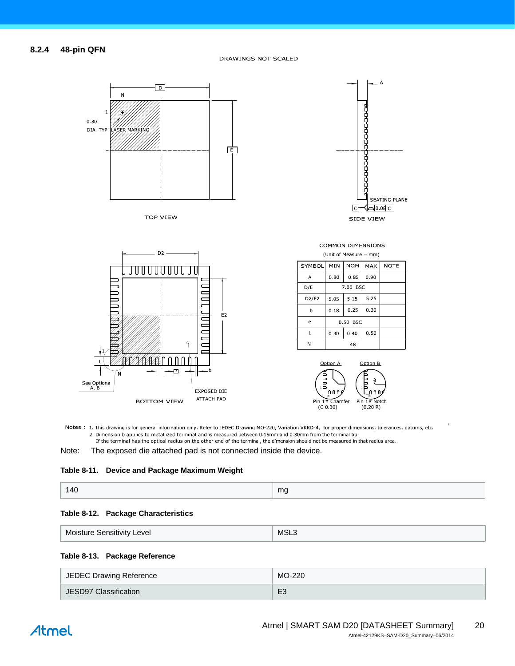

**TOP VIEW** 





**COMMON DIMENSIONS** (Unit of Measure = mm)

| <b>SYMBOL</b> | MIN      | <b>NOM</b> | <b>MAX</b> | <b>NOTE</b> |
|---------------|----------|------------|------------|-------------|
| A             | 0.80     | 0.85       | 0.90       |             |
| D/E           | 7.00 BSC |            |            |             |
| D2/E2         | 5.05     | 5.15       | 5.25       |             |
| b             | 0.18     | 0.25       | 0.30       |             |
| e             | 0.50 BSC |            |            |             |
| L             | 0.30     | 0.40       | 0.50       |             |
| N             | 48       |            |            |             |



Notes : 1. This drawing is for general information only. Refer to JEDEC Drawing MO-220, Variation VKKD-4, for proper dimensions, tolerances, datums, etc. 2. Dimension b applies to metallized terminal and is measured between 0.15mm and 0.30mm from the terminal tip. If the terminal has the optical radius on the other end of the terminal, the dimension should not be measured in that radius area.

Note: The exposed die attached pad is not connected inside the device.

#### **Table 8-11. Device and Package Maximum Weight**

| 140 | ma |
|-----|----|
|-----|----|

#### **Table 8-12. Package Characteristics**

#### **Table 8-13. Package Reference**

| JEDEC Drawing Reference | MO-220         |
|-------------------------|----------------|
| JESD97 Classification   | E <sub>3</sub> |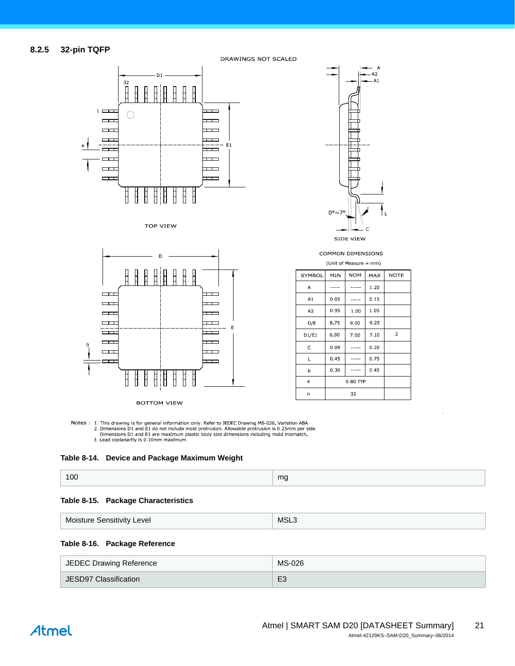

**TOP VIEW** 



**BOTTOM VIEW** 

COMMON DIMENSIONS (Unit of Measure = mm)

SIDE VIEW

 $\epsilon$ 

 $0^{\circ}$ ~

 $\overline{A}$  $A<sub>2</sub>$  $A<sub>1</sub>$ 

| SYMBOL         | MIN   | <b>NOM</b> | <b>MAX</b> | <b>NOTE</b>    |
|----------------|-------|------------|------------|----------------|
| А              |       |            | 1.20       |                |
| A1             | 0.05  |            | 0.15       |                |
| A <sub>2</sub> | 0 95  | 1.00       | 1.05       |                |
| D/E            | 8 7 5 | 9.00       | 9.25       |                |
| D1/E1          | 6.90  | 7.00       | 7.10       | $\overline{2}$ |
| C              | 0.09  |            | 0.20       |                |
| L              | 0.45  |            | 0.75       |                |
| þ              | 0.30  |            | 0.45       |                |
| e              |       | 0 80 TYP   |            |                |
| n              |       | 32         |            |                |

Notes: 1. This drawing is for general information only. Refer to JEDEC Drawing MS-026, Variation ABA.<br>2. Dimensions D1 and E1 do not include mold protrusion. Allowable protrusion is 0.25mm per side. Dimensions D1 and E1 are maximum plastic body size dimensions including mold mismatch.<br>3. Lead coplanarity is 0.10mm maximum.



|  | 100 | mg |
|--|-----|----|
|--|-----|----|

#### **Table 8-15. Package Characteristics**

|  | Moisture Sensitivity Level | MSL. |
|--|----------------------------|------|
|--|----------------------------|------|

#### **Table 8-16. Package Reference**

| JEDEC Drawing Reference | MS-026         |
|-------------------------|----------------|
| JESD97 Classification   | E <sub>3</sub> |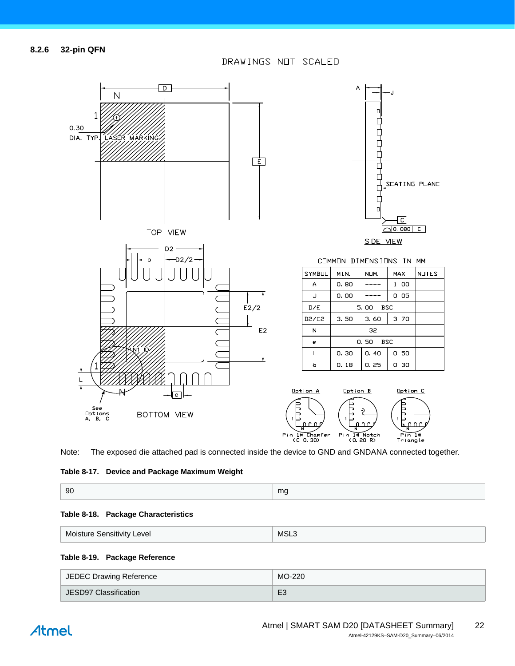

Note: The exposed die attached pad is connected inside the device to GND and GNDANA connected together.

#### **Table 8-17. Device and Package Maximum Weight**

| 90 | ma<br>. . |
|----|-----------|
|----|-----------|

#### **Table 8-18. Package Characteristics**

#### **Table 8-19. Package Reference**

| JEDEC Drawing Reference | MO-220         |
|-------------------------|----------------|
| JESD97 Classification   | E <sub>3</sub> |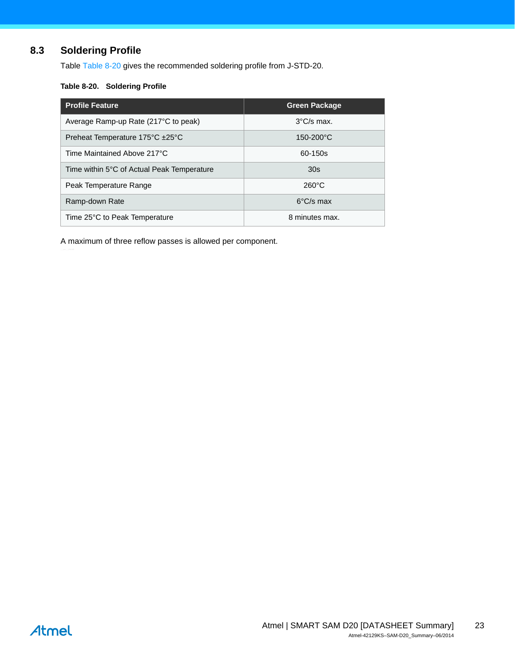# <span id="page-22-1"></span>**8.3 Soldering Profile**

Table [Table 8-20](#page-22-0) gives the recommended soldering profile from J-STD-20.

#### <span id="page-22-0"></span>**Table 8-20. Soldering Profile**

| <b>Profile Feature</b>                            | <b>Green Package</b> |
|---------------------------------------------------|----------------------|
| Average Ramp-up Rate (217 <sup>o</sup> C to peak) | $3^{\circ}$ C/s max. |
| Preheat Temperature 175°C ±25°C                   | $150 - 200$ °C       |
| Time Maintained Above 217°C                       | 60-150s              |
| Time within 5°C of Actual Peak Temperature        | 30s                  |
| Peak Temperature Range                            | $260^{\circ}$ C      |
| Ramp-down Rate                                    | $6^{\circ}$ C/s max  |
| Time 25°C to Peak Temperature                     | 8 minutes max.       |

A maximum of three reflow passes is allowed per component.

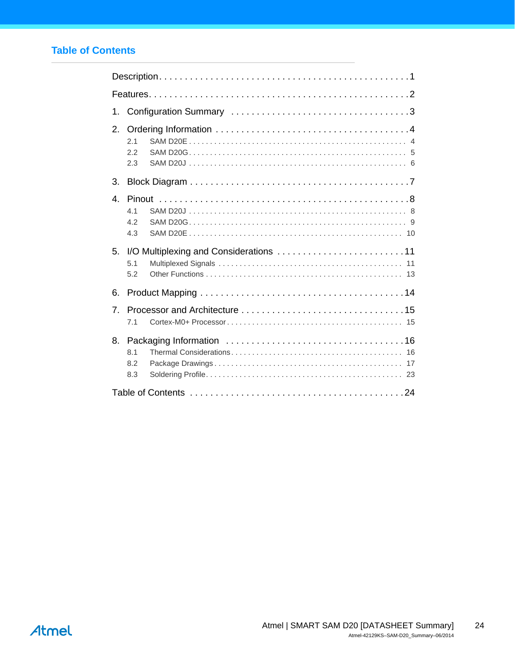# <span id="page-23-0"></span>**Table of Contents**

| 1.                                             |
|------------------------------------------------|
| 2.<br>2.1<br>2.2<br>2.3                        |
| 3.                                             |
| $\overline{4}$<br>4 <sub>1</sub><br>4.2<br>4.3 |
| 5.<br>5.1<br>5.2                               |
| 6.                                             |
| $\overline{7}$ .<br>7.1                        |
| 8.<br>8.1<br>8.2<br>8.3                        |
|                                                |